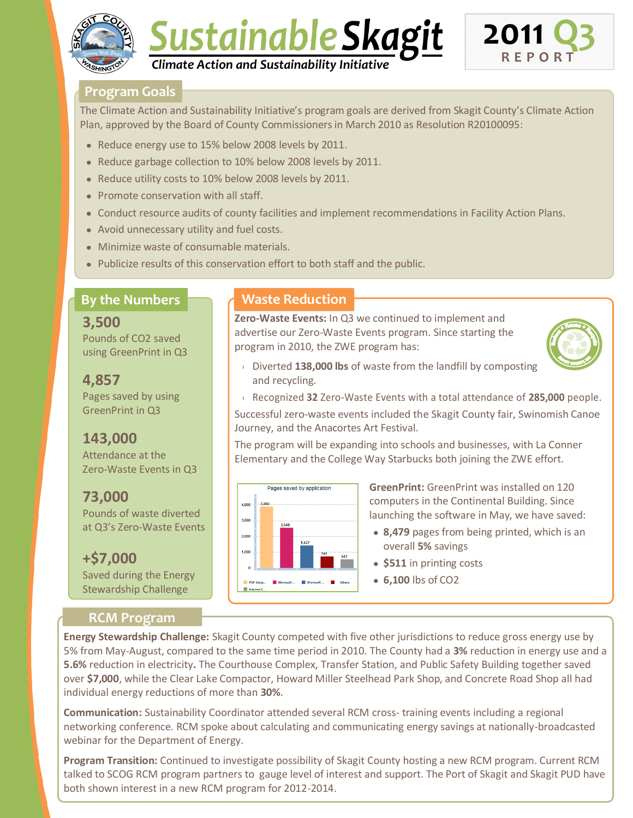





#### **Program Goals**

The Climate Action and Sustainability Initiative's program goals are derived from Skagit County's Climate Action Plan, approved by the Board of County Commissioners in March 2010 as Resolution R20100095:

- Reduce energy use to 15% below 2008 levels by 2011.
- Reduce garbage collection to 10% below 2008 levels by 2011.
- Reduce utility costs to 10% below 2008 levels by 2011.
- Promote conservation with all staff.
- Conduct resource audits of county facilities and implement recommendations in Facility Action Plans.
- Avoid unnecessary utility and fuel costs.
- Minimize waste of consumable materials.
- Publicize results of this conservation effort to both staff and the public.

## **By the Numbers**

**3,500** Pounds of CO2 saved using GreenPrint in Q3

**4,857** Pages saved by using GreenPrint in Q3

# **143,000**

Attendance at the Zero-Waste Events in Q3

**73,000**

Pounds of waste diverted at Q3's Zero-Waste Events

**+\$7,000** Saved during the Energy Stewardship Challenge

### **RCM Program**

### **Waste Reduction**

**Zero-Waste Events:** In Q3 we continued to implement and advertise our Zero-Waste Events program. Since starting the program in 2010, the ZWE program has:



Diverted **138,000 lbs** of waste from the landfill by composting and recycling.

Recognized **32** Zero-Waste Events with a total attendance of **285,000** people. Successful zero-waste events included the Skagit County fair, Swinomish Canoe Journey, and the Anacortes Art Festival.

The program will be expanding into schools and businesses, with La Conner Elementary and the College Way Starbucks both joining the ZWE effort.



**GreenPrint:** GreenPrint was installed on 120 computers in the Continental Building. Since launching the software in May, we have saved:

- **8,479** pages from being printed, which is an overall **5%** savings
- **\$511** in printing costs
- **6,100** lbs of CO2

**Energy Stewardship Challenge:** Skagit County competed with five other jurisdictions to reduce gross energy use by 5% from May-August, compared to the same time period in 2010. The County had a **3%** reduction in energy use and a **5.6%** reduction in electricity**.** The Courthouse Complex, Transfer Station, and Public Safety Building together saved over **\$7,000**, while the Clear Lake Compactor, Howard Miller Steelhead Park Shop, and Concrete Road Shop all had individual energy reductions of more than **30%**.

**Communication:** Sustainability Coordinator attended several RCM cross- training events including a regional networking conference. RCM spoke about calculating and communicating energy savings at nationally-broadcasted webinar for the Department of Energy.

**Program Transition:** Continued to investigate possibility of Skagit County hosting a new RCM program. Current RCM talked to SCOG RCM program partners to gauge level of interest and support. The Port of Skagit and Skagit PUD have both shown interest in a new RCM program for 2012-2014.